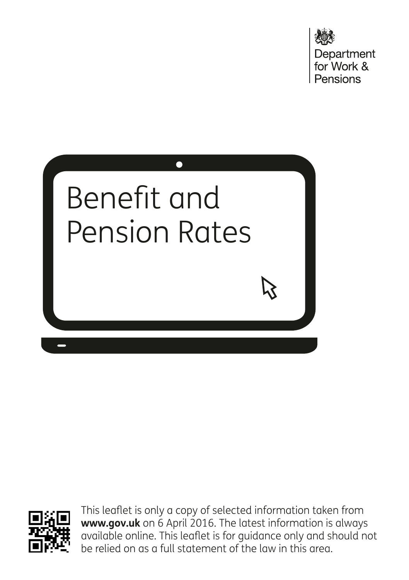Department<br>for Work & Pensions





This leaflet is only a copy of selected information taken from **www.gov.uk** on 6 April 2016. The latest information is always available online. This leaflet is for guidance only and should not be relied on as a full statement of the law in this area.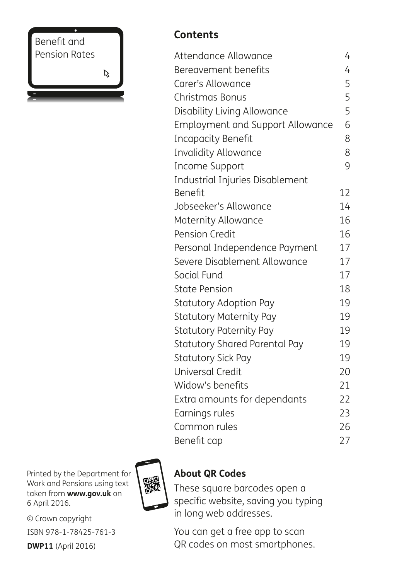Benefit and Pension Rates

 $\aleph$ 

#### **Contents**

| Attendance Allowance                    | 4  |
|-----------------------------------------|----|
| Bereavement benefits                    | 4  |
| Carer's Allowance                       | 5  |
| Christmas Bonus                         | 5  |
| Disability Living Allowance             | 5  |
| <b>Employment and Support Allowance</b> | 6  |
| <b>Incapacity Benefit</b>               | 8  |
| <b>Invalidity Allowance</b>             | 8  |
| Income Support                          | 9  |
| Industrial Injuries Disablement         |    |
| Benefit                                 | 12 |
| Jobseeker's Allowance                   | 14 |
| Maternity Allowance                     | 16 |
| Pension Credit                          | 16 |
| Personal Independence Payment           | 17 |
| Severe Disablement Allowance            | 17 |
| Social Fund                             | 17 |
| <b>State Pension</b>                    | 18 |
| <b>Statutory Adoption Pay</b>           | 19 |
| <b>Statutory Maternity Pay</b>          | 19 |
| <b>Statutory Paternity Pay</b>          | 19 |
| <b>Statutory Shared Parental Pay</b>    | 19 |
| <b>Statutory Sick Pay</b>               | 19 |
| <b>Universal Credit</b>                 | 20 |
| Widow's benefits                        | 21 |
| Extra amounts for dependants            | 22 |
| Earnings rules                          | 23 |
| Common rules                            | 26 |
| Benefit cap                             | 27 |

Printed by the Department for Work and Pensions using text taken from **www.gov.uk** on 6 April 2016.

© Crown copyright ISBN 978-1-78425-761-3 **DWP11** (April 2016)



#### **About QR Codes**

These square barcodes open a specific website, saving you typing in long web addresses.

You can get a free app to scan QR codes on most smartphones.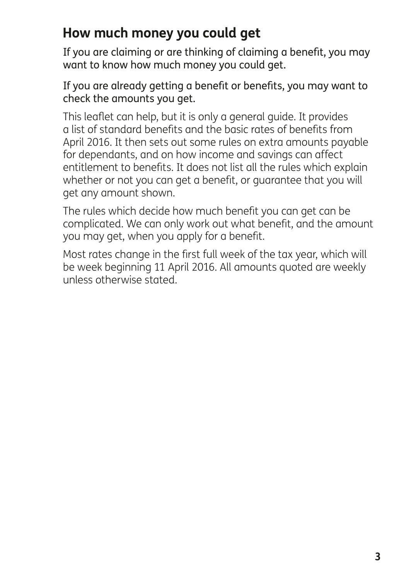# **How much money you could get**

If you are claiming or are thinking of claiming a benefit, you may want to know how much money you could get.

If you are already getting a benefit or benefits, you may want to check the amounts you get.

This leaflet can help, but it is only a general guide. It provides a list of standard benefits and the basic rates of benefits from April 2016. It then sets out some rules on extra amounts payable for dependants, and on how income and savings can affect entitlement to benefits. It does not list all the rules which explain whether or not you can get a benefit, or guarantee that you will get any amount shown.

The rules which decide how much benefit you can get can be complicated. We can only work out what benefit, and the amount you may get, when you apply for a benefit.

Most rates change in the first full week of the tax year, which will be week beginning 11 April 2016. All amounts quoted are weekly unless otherwise stated.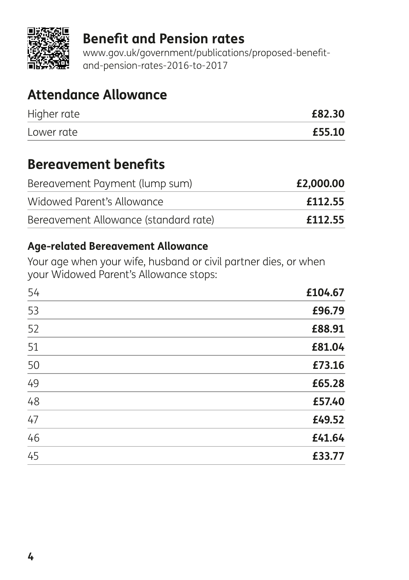

### **Benefit and Pension rates**

www.gov.uk/government/publications/proposed-benefitand-pension-rates-2016-to-2017

## **Attendance Allowance**

| Higher rate | £82.30 |
|-------------|--------|
| Lower rate  | £55.10 |

### **Bereavement benefits**

| Bereavement Payment (lump sum)        | £2,000.00 |
|---------------------------------------|-----------|
| Widowed Parent's Allowance            | £112.55   |
| Bereavement Allowance (standard rate) | £112.55   |

#### **Age-related Bereavement Allowance**

Your age when your wife, husband or civil partner dies, or when your Widowed Parent's Allowance stops:

| 54 | £104.67 |
|----|---------|
| 53 | £96.79  |
| 52 | £88.91  |
| 51 | £81.04  |
| 50 | £73.16  |
| 49 | £65.28  |
| 48 | £57.40  |
| 47 | £49.52  |
| 46 | £41.64  |
| 45 | £33.77  |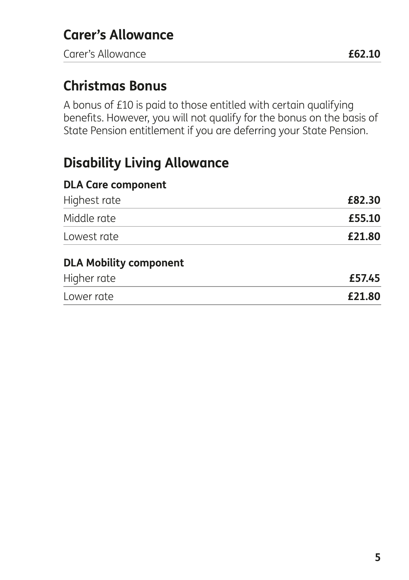Carer's Allowance **£62.10**

## **Christmas Bonus**

A bonus of £10 is paid to those entitled with certain qualifying benefits. However, you will not qualify for the bonus on the basis of State Pension entitlement if you are deferring your State Pension.

## **Disability Living Allowance**

| <b>DLA Care component</b>     |        |
|-------------------------------|--------|
| Highest rate                  | £82.30 |
| Middle rate                   | £55.10 |
| Lowest rate                   | £21.80 |
| <b>DLA Mobility component</b> |        |
| Higher rate                   | £57.45 |
| Lower rate                    | £21.80 |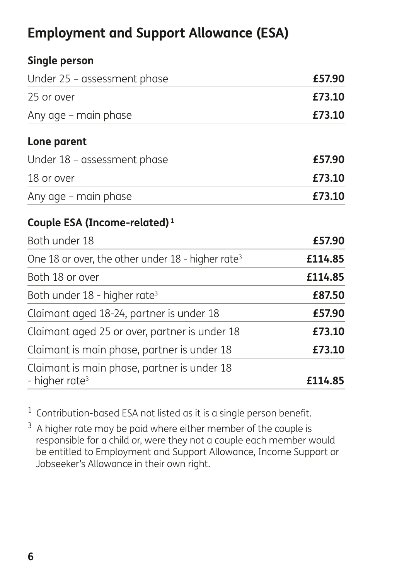# **Employment and Support Allowance (ESA)**

| Single person                                                             |         |
|---------------------------------------------------------------------------|---------|
| Under 25 - assessment phase                                               | £57.90  |
| 25 or over                                                                | £73.10  |
| Any age – main phase                                                      | £73.10  |
| Lone parent                                                               |         |
| Under 18 - assessment phase                                               | £57.90  |
| 18 or over                                                                | £73.10  |
| Any age – main phase                                                      | £73.10  |
| Couple ESA (Income-related) $1$                                           |         |
| Both under 18                                                             | £57.90  |
| One 18 or over, the other under $18$ - higher rate <sup>3</sup>           | £114.85 |
| Both 18 or over                                                           | £114.85 |
| Both under 18 - higher rate <sup>3</sup>                                  | £87.50  |
| Claimant aged 18-24, partner is under 18                                  | £57.90  |
| Claimant aged 25 or over, partner is under 18                             | £73.10  |
| Claimant is main phase, partner is under 18                               | £73.10  |
| Claimant is main phase, partner is under 18<br>- higher rate <sup>3</sup> | £114.85 |

 $1$  Contribution-based ESA not listed as it is a single person benefit.

 $3\,$  A higher rate may be paid where either member of the couple is responsible for a child or, were they not a couple each member would be entitled to Employment and Support Allowance, Income Support or Jobseeker's Allowance in their own right.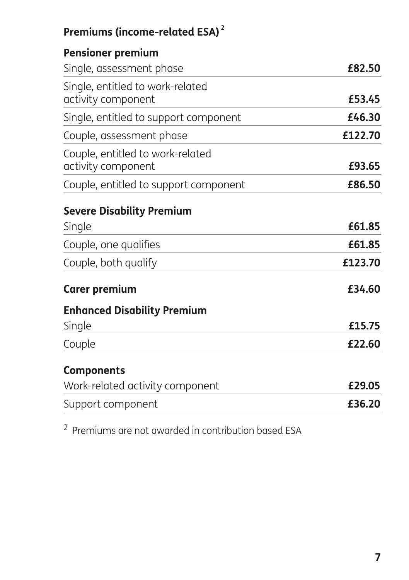# **Premiums (income-related ESA) <sup>2</sup>**

| <b>Pensioner premium</b>              |         |
|---------------------------------------|---------|
| Single, assessment phase              | £82.50  |
| Single, entitled to work-related      |         |
| activity component                    | £53.45  |
| Single, entitled to support component | £46.30  |
| Couple, assessment phase              | £122.70 |
| Couple, entitled to work-related      |         |
| activity component                    | £93.65  |
| Couple, entitled to support component | £86.50  |
| <b>Severe Disability Premium</b>      |         |
| Single                                | £61.85  |
| Couple, one qualifies                 | £61.85  |
| Couple, both qualify                  | £123.70 |
| <b>Carer premium</b>                  | £34.60  |
| <b>Enhanced Disability Premium</b>    |         |
| Single                                | £15.75  |
| Couple                                | £22.60  |
| <b>Components</b>                     |         |
| Work-related activity component       | £29.05  |
| Support component                     | £36.20  |

<sup>2</sup> Premiums are not awarded in contribution based ESA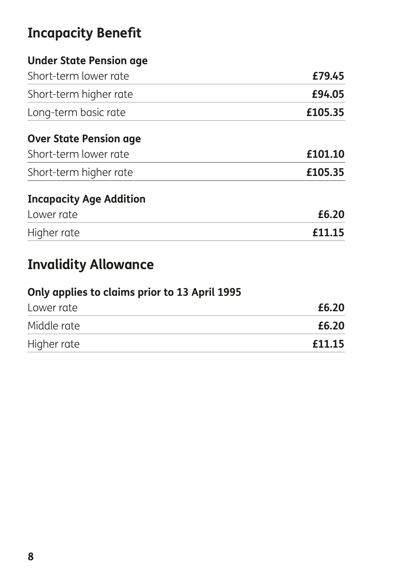# **Incapacity Benefit**

### **Under State Pension age**

| Short-term lower rate          | £79.45  |
|--------------------------------|---------|
| Short-term higher rate         | £94.05  |
| Long-term basic rate           | £105.35 |
| <b>Over State Pension age</b>  |         |
| Short-term lower rate          | £101.10 |
| Short-term higher rate         | £105.35 |
| <b>Incapacity Age Addition</b> |         |
| Lower rate                     | £6.20   |
| Higher rate                    | £11.15  |

# **Invalidity Allowance**

| Only applies to claims prior to 13 April 1995 |        |
|-----------------------------------------------|--------|
| Lower rate                                    | £6.20  |
| Middle rate                                   | £6.20  |
| Higher rate                                   | £11.15 |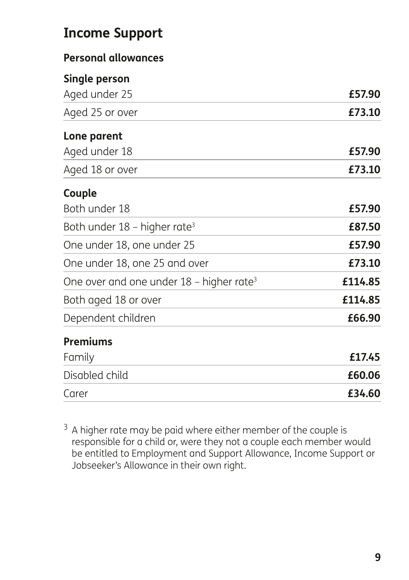# **Income Support**

#### **Personal allowances**

#### **Single person**

| Aged under 25                                          | £57.90  |
|--------------------------------------------------------|---------|
| Aged 25 or over                                        | £73.10  |
| Lone parent                                            |         |
| Aged under 18                                          | £57.90  |
| Aged 18 or over                                        | £73.10  |
| Couple                                                 |         |
| Both under 18                                          | £57.90  |
| Both under $18$ – higher rate <sup>3</sup>             | £87.50  |
| One under 18, one under 25                             | £57.90  |
| One under 18, one 25 and over                          | £73.10  |
| One over and one under $18$ – higher rate <sup>3</sup> | £114.85 |
| Both aged 18 or over                                   | £114.85 |
| Dependent children                                     | £66.90  |
| <b>Premiums</b>                                        |         |
| Family                                                 | £17.45  |
| Disabled child                                         | £60.06  |
| Carer                                                  | £34.60  |

 $3$  A higher rate may be paid where either member of the couple is responsible for a child or, were they not a couple each member would be entitled to Employment and Support Allowance, Income Support or Jobseeker's Allowance in their own right.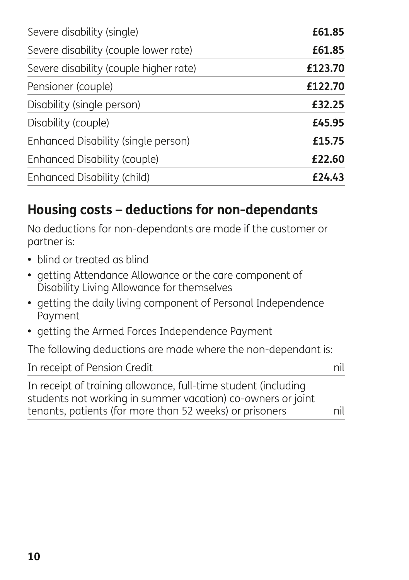| Severe disability (single)             | £61.85  |
|----------------------------------------|---------|
| Severe disability (couple lower rate)  | £61.85  |
| Severe disability (couple higher rate) | £123.70 |
| Pensioner (couple)                     | £122.70 |
| Disability (single person)             | £32.25  |
| Disability (couple)                    | £45.95  |
| Enhanced Disability (single person)    | £15.75  |
| Enhanced Disability (couple)           | £22.60  |
| Enhanced Disability (child)            | £24.43  |

# **Housing costs – deductions for non-dependants**

No deductions for non-dependants are made if the customer or partner is:

- blind or treated as blind
- getting Attendance Allowance or the care component of Disability Living Allowance for themselves
- getting the daily living component of Personal Independence Payment
- getting the Armed Forces Independence Payment

The following deductions are made where the non-dependant is:

| In receipt of Pension Credit                                   | nil |
|----------------------------------------------------------------|-----|
| In receipt of training allowance, full-time student (including |     |
| students not working in summer vacation) co-owners or joint    |     |
| tenants, patients (for more than 52 weeks) or prisoners        | nil |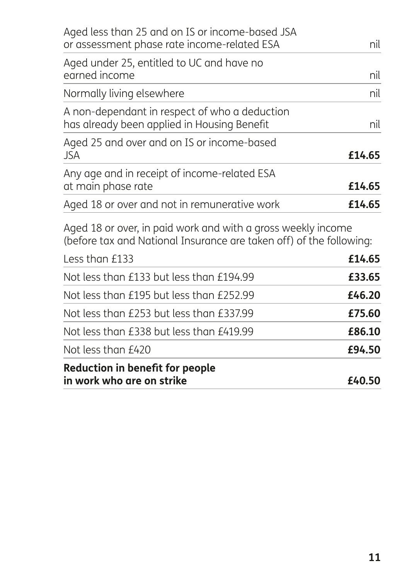| <b>Reduction in benefit for people</b><br>in work who are on strike                                                                 | £40.50 |
|-------------------------------------------------------------------------------------------------------------------------------------|--------|
| Not less than £420                                                                                                                  | £94.50 |
| Not less than £338 but less than £419.99                                                                                            | £86.10 |
| Not less than £253 but less than £337.99                                                                                            | £75.60 |
| Not less than £195 but less than £252.99                                                                                            | £46.20 |
| Not less than £133 but less than £194.99                                                                                            | £33.65 |
| Less than £133                                                                                                                      | £14.65 |
| Aged 18 or over, in paid work and with a gross weekly income<br>(before tax and National Insurance are taken off) of the following: |        |
| Aged 18 or over and not in remunerative work                                                                                        | £14.65 |
| Any age and in receipt of income-related ESA<br>at main phase rate                                                                  | £14.65 |
| Aged 25 and over and on IS or income-based<br>JSA                                                                                   | £14.65 |
| A non-dependant in respect of who a deduction<br>has already been applied in Housing Benefit                                        | nil    |
| Normally living elsewhere                                                                                                           | nil    |
| Aged under 25, entitled to UC and have no<br>earned income                                                                          | nil    |
| Aged less than 25 and on IS or income-based JSA<br>or assessment phase rate income-related ESA                                      | nil    |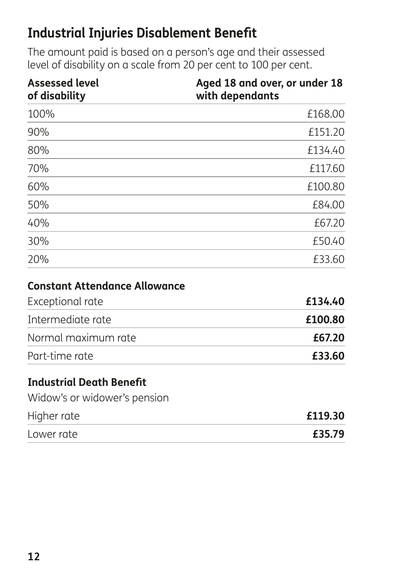## **Industrial Injuries Disablement Benefit**

The amount paid is based on a person's age and their assessed level of disability on a scale from 20 per cent to 100 per cent.

| <b>Assessed level</b><br>of disability | Aged 18 and over, or under 18<br>with dependants |
|----------------------------------------|--------------------------------------------------|
| 100%                                   | £168.00                                          |
| 90%                                    | £151.20                                          |
| 80%                                    | £134.40                                          |
| 70%                                    | £117.60                                          |
| 60%                                    | £100.80                                          |
| 50%                                    | £84.00                                           |
| 40%                                    | £67.20                                           |
| 30%                                    | £50.40                                           |
| 20%                                    | £33.60                                           |
| <b>Constant Attendance Allowance</b>   |                                                  |
| Exceptional rate                       | £134.40                                          |
| Intermediate rate                      | £100.80                                          |
| Normal maximum rate                    | £67.20                                           |
| Part-time rate                         | £33.60                                           |

### **Industrial Death Benefit**

Widow's or widower's pension

| Higher rate | £119.30 |
|-------------|---------|
| Lower rate  | £35.79  |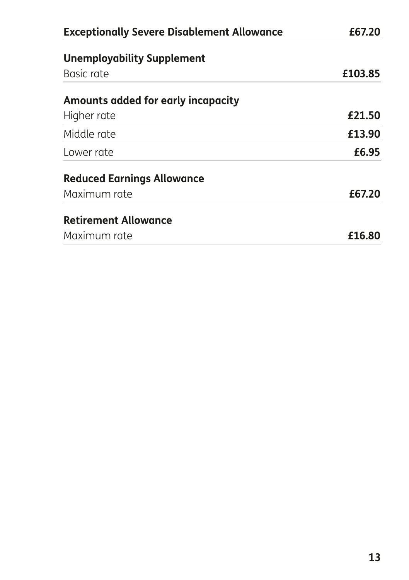| <b>Exceptionally Severe Disablement Allowance</b> | £67.20  |
|---------------------------------------------------|---------|
| <b>Unemployability Supplement</b>                 |         |
| Basic rate                                        | £103.85 |
| Amounts added for early incapacity                |         |
| Higher rate                                       | £21.50  |
| Middle rate                                       | £13.90  |
| I ower rate                                       | £6.95   |
| <b>Reduced Earnings Allowance</b>                 |         |
| Maximum rate                                      | £67.20  |
| <b>Retirement Allowance</b>                       |         |
| Maximum rate                                      | £16.80  |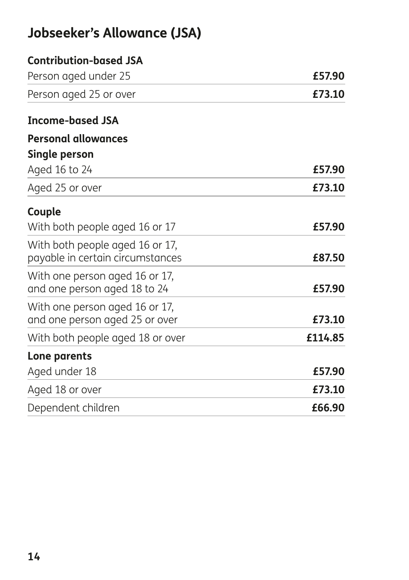# **Jobseeker's Allowance (JSA)**

| <b>Contribution-based JSA</b>                                       |         |
|---------------------------------------------------------------------|---------|
| Person aged under 25                                                | £57.90  |
| Person aged 25 or over                                              | £73.10  |
| <b>Income-based JSA</b>                                             |         |
| <b>Personal allowances</b>                                          |         |
| Single person                                                       |         |
| Aged 16 to 24                                                       | £57.90  |
| Aged 25 or over                                                     | £73.10  |
| Couple                                                              |         |
| With both people aged 16 or 17                                      | £57.90  |
| With both people aged 16 or 17,<br>payable in certain circumstances | £87.50  |
| With one person aged 16 or 17,<br>and one person aged 18 to 24      | £57.90  |
| With one person aged 16 or 17,<br>and one person aged 25 or over    | £73.10  |
| With both people aged 18 or over                                    | £114.85 |
| Lone parents                                                        |         |
| Aged under 18                                                       | £57.90  |
| Aged 18 or over                                                     | £73.10  |
| Dependent children                                                  | £66.90  |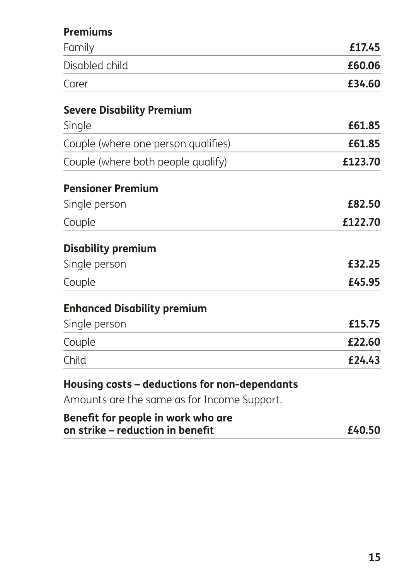### **Premiums**

| Family                                                                                                                                                            | £17.45  |
|-------------------------------------------------------------------------------------------------------------------------------------------------------------------|---------|
| Disabled child                                                                                                                                                    | £60.06  |
| Carer                                                                                                                                                             | £34.60  |
| <b>Severe Disability Premium</b>                                                                                                                                  |         |
| Single                                                                                                                                                            | £61.85  |
| Couple (where one person qualifies)                                                                                                                               | £61.85  |
| Couple (where both people qualify)                                                                                                                                | £123.70 |
| <b>Pensioner Premium</b>                                                                                                                                          |         |
| Single person                                                                                                                                                     | £82.50  |
| Couple                                                                                                                                                            | £122.70 |
| <b>Disability premium</b>                                                                                                                                         |         |
| Single person                                                                                                                                                     | £32.25  |
| Couple                                                                                                                                                            | £45.95  |
| <b>Enhanced Disability premium</b>                                                                                                                                |         |
| Single person                                                                                                                                                     | £15.75  |
| Couple                                                                                                                                                            | £22.60  |
| Child                                                                                                                                                             | £24.43  |
| Housing costs - deductions for non-dependants<br>. San Alexandra Alexandra San Alexandra Company San Alexandra San Alexandra San Alexandra San Alexandra San Alex |         |

Amounts are the same as for Income Support.

| Benefit for people in work who are |        |
|------------------------------------|--------|
| on strike - reduction in benefit   | £40.50 |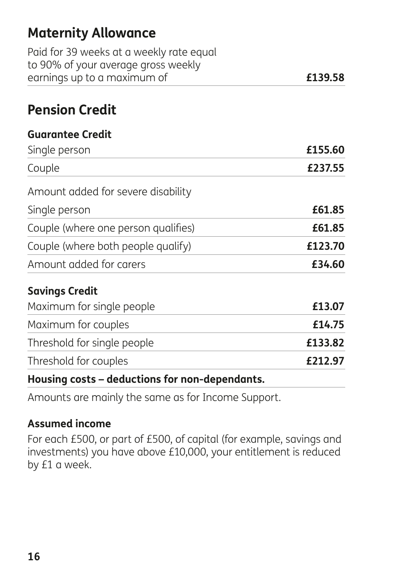# **Maternity Allowance**

| earnings up to a maximum of              | £139.58 |
|------------------------------------------|---------|
| to 90% of your average gross weekly      |         |
| Paid for 39 weeks at a weekly rate equal |         |

## **Pension Credit**

#### **Guarantee Credit**

| Single person                       | £155.60 |
|-------------------------------------|---------|
| Couple                              | £237.55 |
| Amount added for severe disability  |         |
| Single person                       | £61.85  |
| Couple (where one person qualifies) | £61.85  |
| Couple (where both people qualify)  | £123.70 |
| Amount added for carers             | £34.60  |
| <b>Savings Credit</b>               |         |
| Maximum for single people           | £13.07  |
| Maximum for couples                 | £14.75  |
| Threshold for single people         | £133.82 |
| Threshold for couples               | £212.97 |

#### **Housing costs – deductions for non-dependants.**

Amounts are mainly the same as for Income Support.

#### **Assumed income**

For each £500, or part of £500, of capital (for example, savings and investments) you have above £10,000, your entitlement is reduced by £1 a week.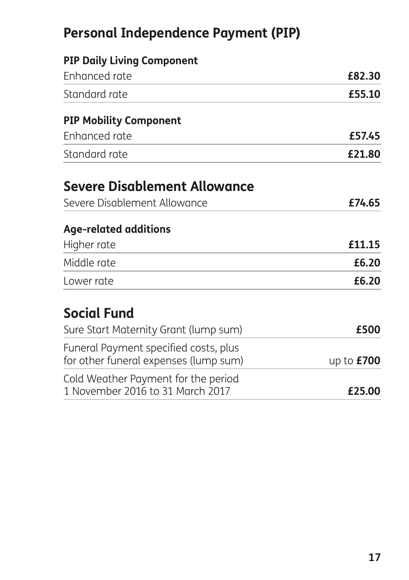# **Personal Independence Payment (PIP)**

| <b>PIP Daily Living Component</b>                                              |              |
|--------------------------------------------------------------------------------|--------------|
| Enhanced rate                                                                  | £82.30       |
| Standard rate                                                                  | £55.10       |
| <b>PIP Mobility Component</b>                                                  |              |
| Enhanced rate                                                                  | £57.45       |
| Standard rate                                                                  | £21.80       |
| Severe Disablement Allowance                                                   |              |
| Severe Disablement Allowance                                                   | £74.65       |
| <b>Age-related additions</b>                                                   |              |
| Higher rate                                                                    | £11.15       |
| Middle rate                                                                    | £6.20        |
| Lower rate                                                                     | £6.20        |
| <b>Social Fund</b>                                                             |              |
| Sure Start Maternity Grant (lump sum)                                          | £500         |
| Funeral Payment specified costs, plus<br>for other funeral expenses (lump sum) | up to $£700$ |
| Cold Weather Payment for the period<br>1 November 2016 to 31 March 2017        | £25.00       |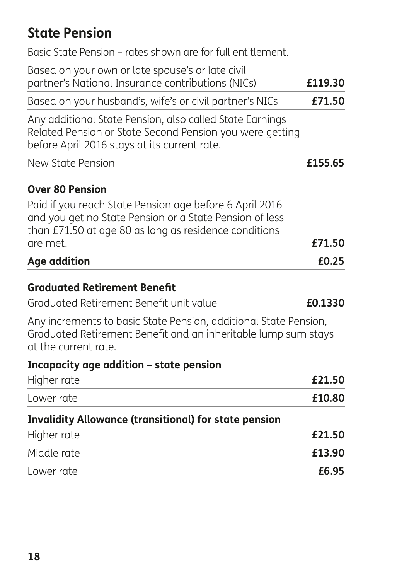## **State Pension**

| Age addition                                                                                                                                                                            | £0.25   |
|-----------------------------------------------------------------------------------------------------------------------------------------------------------------------------------------|---------|
| Paid if you reach State Pension age before 6 April 2016<br>and you get no State Pension or a State Pension of less<br>than £71.50 at age 80 as long as residence conditions<br>are met. | £71.50  |
| <b>Over 80 Pension</b>                                                                                                                                                                  |         |
| New State Pension                                                                                                                                                                       | £155.65 |
| Any additional State Pension, also called State Earnings<br>Related Pension or State Second Pension you were getting<br>before April 2016 stays at its current rate.                    |         |
| Based on your husband's, wife's or civil partner's NICs                                                                                                                                 | £71.50  |
| Based on your own or late spouse's or late civil<br>partner's National Insurance contributions (NICs)                                                                                   | £119.30 |
| Basic State Pension – rates shown are for full entitlement.                                                                                                                             |         |

#### **Graduated Retirement Benefit**

| Graduated Retirement Benefit unit value | £0.1330 |
|-----------------------------------------|---------|
|-----------------------------------------|---------|

Any increments to basic State Pension, additional State Pension, Graduated Retirement Benefit and an inheritable lump sum stays at the current rate.

#### **Incapacity age addition – state pension**

| Higher rate                                                  | £21.50 |
|--------------------------------------------------------------|--------|
| Lower rate                                                   | £10.80 |
| <b>Invalidity Allowance (transitional) for state pension</b> |        |
| Higher rate                                                  | £21.50 |
| Middle rate                                                  | £13.90 |
| Lower rate                                                   | £6.95  |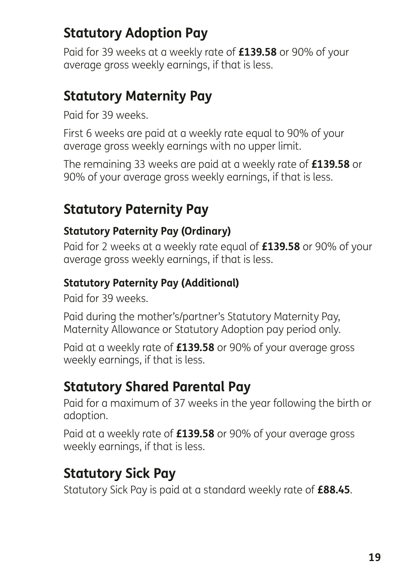# **Statutory Adoption Pay**

Paid for 39 weeks at a weekly rate of **£139.58** or 90% of your average gross weekly earnings, if that is less.

### **Statutory Maternity Pay**

Paid for 39 weeks.

First 6 weeks are paid at a weekly rate equal to 90% of your average gross weekly earnings with no upper limit.

The remaining 33 weeks are paid at a weekly rate of **£139.58** or 90% of your average gross weekly earnings, if that is less.

## **Statutory Paternity Pay**

#### **Statutory Paternity Pay (Ordinary)**

Paid for 2 weeks at a weekly rate equal of **£139.58** or 90% of your average gross weekly earnings, if that is less.

### **Statutory Paternity Pay (Additional)**

Paid for 39 weeks.

Paid during the mother's/partner's Statutory Maternity Pay, Maternity Allowance or Statutory Adoption pay period only.

Paid at a weekly rate of **£139.58** or 90% of your average gross weekly earnings, if that is less.

### **Statutory Shared Parental Pay**

Paid for a maximum of 37 weeks in the year following the birth or adoption.

Paid at a weekly rate of **£139.58** or 90% of your average gross weekly earnings, if that is less.

## **Statutory Sick Pay**

Statutory Sick Pay is paid at a standard weekly rate of **£88.45**.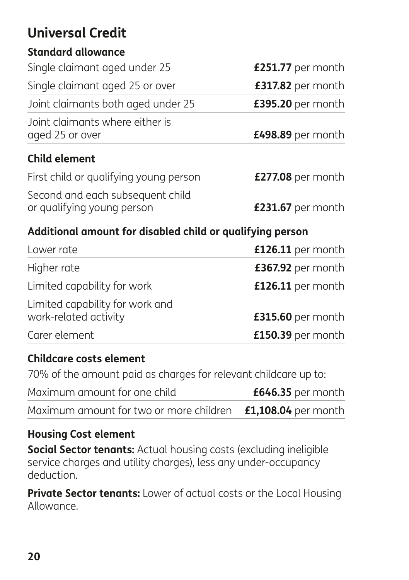# **Universal Credit**

#### **Standard allowance**

| Single claimant aged under 25                             | £251.77 per month  |
|-----------------------------------------------------------|--------------------|
|                                                           |                    |
| Single claimant aged 25 or over                           | £317.82 per month  |
| Joint claimants both aged under 25                        | £395.20 per month  |
| Joint claimants where either is<br>aged 25 or over        | £498.89 per month  |
|                                                           |                    |
| <b>Child element</b>                                      |                    |
| First child or qualifying young person                    | £277.08 per month  |
| Second and each subsequent child                          |                    |
| or qualifying young person                                | £231.67 per month  |
| Additional amount for disabled child or qualifying person |                    |
| $l$ $\alpha$ war rata                                     | $112611$ por month |

| Lower rate                                               | $£126.11$ per month |
|----------------------------------------------------------|---------------------|
| Higher rate                                              | £367.92 per month   |
| Limited capability for work                              | £126.11 per month   |
| Limited capability for work and<br>work-related activity | £315.60 per month   |
| Carer element                                            | £150.39 per month   |

#### **Childcare costs element**

70% of the amount paid as charges for relevant childcare up to:

| Maximum amount for one child                                       | £646.35 per month |
|--------------------------------------------------------------------|-------------------|
| Maximum amount for two or more children <b>£1,108.04</b> per month |                   |

### **Housing Cost element**

**Social Sector tenants:** Actual housing costs (excluding ineligible service charges and utility charges), less any under-occupancy deduction.

**Private Sector tenants:** Lower of actual costs or the Local Housing Allowance.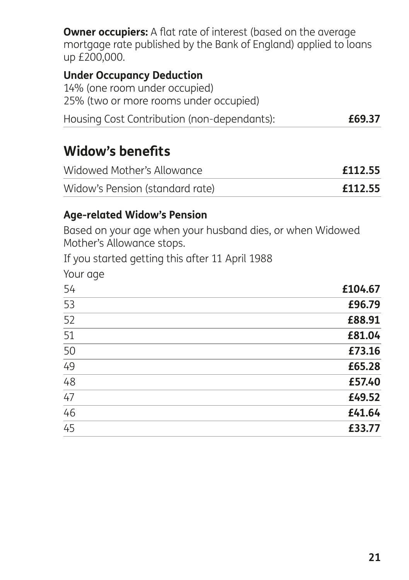**Owner occupiers:** A flat rate of interest (based on the average mortgage rate published by the Bank of England) applied to loans up £200,000.

#### **Under Occupancy Deduction**

| 14% (one room under occupied)               |        |
|---------------------------------------------|--------|
| 25% (two or more rooms under occupied)      |        |
| Housing Cost Contribution (non-dependants): | £69.37 |

### **Widow's benefits**

| Widowed Mother's Allowance      | £112.55 |
|---------------------------------|---------|
| Widow's Pension (standard rate) | £112.55 |

#### **Age-related Widow's Pension**

Based on your age when your husband dies, or when Widowed Mother's Allowance stops.

If you started getting this after 11 April 1988

| Your age |         |
|----------|---------|
| 54       | £104.67 |
| 53       | £96.79  |
| 52       | £88.91  |
| 51       | £81.04  |
| 50       | £73.16  |
| 49       | £65.28  |
| 48       | £57.40  |
| 47       | £49.52  |
| 46       | £41.64  |
| 45       | £33.77  |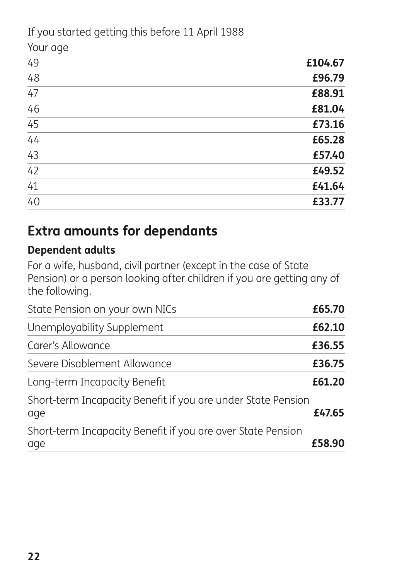If you started getting this before 11 April 1988

Your age

| 49              | £104.67 |
|-----------------|---------|
| $\overline{48}$ | £96.79  |
| 47              | £88.91  |
| 46              | £81.04  |
| $\overline{45}$ | £73.16  |
| $\overline{44}$ | £65.28  |
| 43              | £57.40  |
| 42              | £49.52  |
| 41              | £41.64  |
| 40              | £33.77  |

## **Extra amounts for dependants**

### **Dependent adults**

For a wife, husband, civil partner (except in the case of State Pension) or a person looking after children if you are getting any of the following.

| State Pension on your own NICs                                      | £65.70 |
|---------------------------------------------------------------------|--------|
| Unemployability Supplement                                          | £62.10 |
| Carer's Allowance                                                   | £36.55 |
| Severe Disablement Allowance                                        | £36.75 |
| Long-term Incapacity Benefit                                        | £61.20 |
| Short-term Incapacity Benefit if you are under State Pension<br>age | £47.65 |
| Short-term Incapacity Benefit if you are over State Pension<br>age  | £58.90 |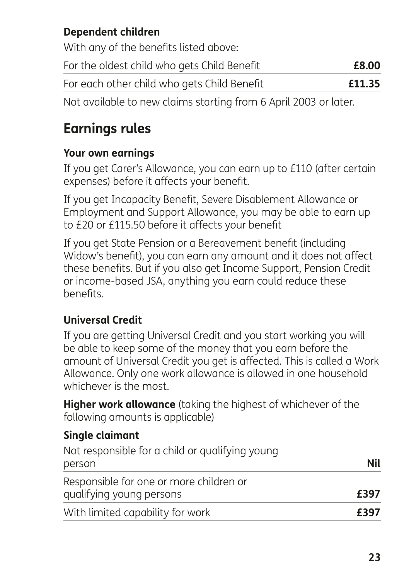### **Dependent children**

With any of the benefits listed above:

| For the oldest child who gets Child Benefit | £8.00  |
|---------------------------------------------|--------|
| For each other child who gets Child Benefit | £11.35 |

Not available to new claims starting from 6 April 2003 or later.

# **Earnings rules**

### **Your own earnings**

If you get Carer's Allowance, you can earn up to £110 (after certain expenses) before it affects your benefit.

If you get Incapacity Benefit, Severe Disablement Allowance or Employment and Support Allowance, you may be able to earn up to £20 or £115.50 before it affects your benefit

If you get State Pension or a Bereavement benefit (including Widow's benefit), you can earn any amount and it does not affect these benefits. But if you also get Income Support, Pension Credit or income-based JSA, anything you earn could reduce these benefits.

### **Universal Credit**

If you are getting Universal Credit and you start working you will be able to keep some of the money that you earn before the amount of Universal Credit you get is affected. This is called a Work Allowance. Only one work allowance is allowed in one household whichever is the most.

**Higher work allowance** (taking the highest of whichever of the following amounts is applicable)

### **Single claimant**

| Not responsible for a child or qualifying young<br>person | Nil  |
|-----------------------------------------------------------|------|
| Responsible for one or more children or                   |      |
| qualifying young persons                                  | £397 |
| With limited capability for work                          | £397 |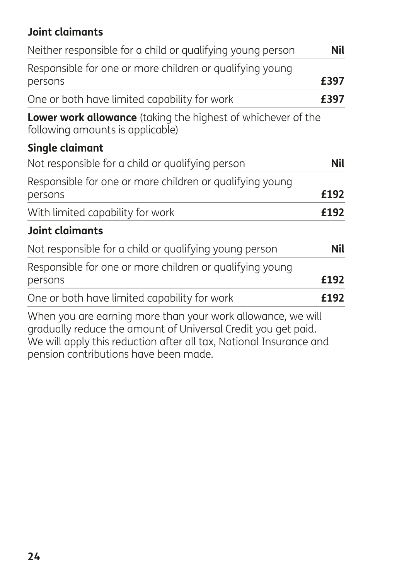### **Joint claimants**

| Neither responsible for a child or qualifying young person                                                                                                                                         | Nil  |
|----------------------------------------------------------------------------------------------------------------------------------------------------------------------------------------------------|------|
| Responsible for one or more children or qualifying young<br>persons                                                                                                                                | £397 |
| One or both have limited capability for work                                                                                                                                                       | £397 |
| Lower work allowance (taking the highest of whichever of the<br>following amounts is applicable)                                                                                                   |      |
| Single claimant                                                                                                                                                                                    |      |
| Not responsible for a child or qualifying person                                                                                                                                                   | Nil  |
| Responsible for one or more children or qualifying young<br>persons                                                                                                                                | £192 |
| With limited capability for work                                                                                                                                                                   | £192 |
| <b>Joint claimants</b>                                                                                                                                                                             |      |
| Not responsible for a child or qualifying young person                                                                                                                                             | Nil  |
| Responsible for one or more children or qualifying young<br>persons                                                                                                                                | £192 |
| One or both have limited capability for work                                                                                                                                                       | £192 |
| When you are earning more than your work allowance, we will<br>gradually reduce the amount of Universal Credit you get paid.<br>We will apply this reduction after all tax, National Insurance and |      |

pension contributions have been made.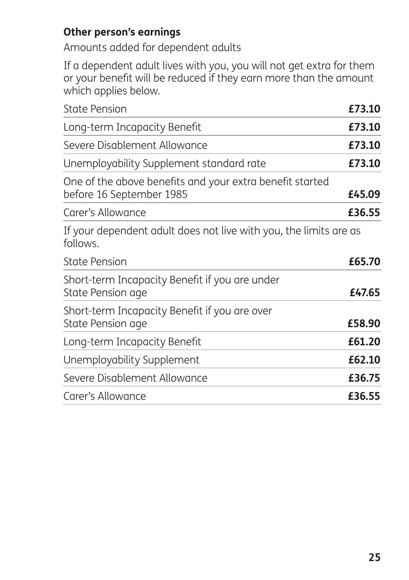#### **Other person's earnings**

Amounts added for dependent adults

If a dependent adult lives with you, you will not get extra for them or your benefit will be reduced if they earn more than the amount which applies below.

| <b>State Pension</b>                                                                 | £73.10 |
|--------------------------------------------------------------------------------------|--------|
| Long-term Incapacity Benefit                                                         | £73.10 |
| Severe Disablement Allowance                                                         | £73.10 |
| Unemployability Supplement standard rate                                             | £73.10 |
| One of the above benefits and your extra benefit started<br>before 16 September 1985 | £45.09 |
| Carer's Allowance                                                                    | £36.55 |
| If your dependent adult does not live with you, the limits are as<br>follows.        |        |
| <b>State Pension</b>                                                                 | £65.70 |
| Short-term Incapacity Benefit if you are under<br>State Pension age                  | £47.65 |
| Short-term Incapacity Benefit if you are over<br>State Pension age                   | £58.90 |
| Long-term Incapacity Benefit                                                         | £61.20 |
| Unemployability Supplement                                                           | £62.10 |
| Severe Disablement Allowance                                                         | £36.75 |
| Carer's Allowance                                                                    | £36.55 |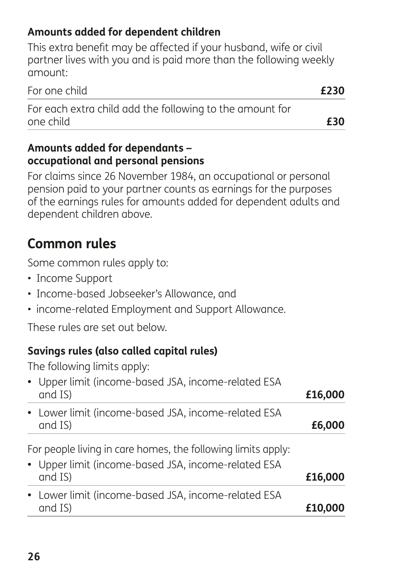### **Amounts added for dependent children**

This extra benefit may be affected if your husband, wife or civil partner lives with you and is paid more than the following weekly amount:

| For one child                                            | £230 |
|----------------------------------------------------------|------|
| For each extra child add the following to the amount for |      |
| one child                                                | £30  |

#### **Amounts added for dependants – occupational and personal pensions**

For claims since 26 November 1984, an occupational or personal pension paid to your partner counts as earnings for the purposes of the earnings rules for amounts added for dependent adults and dependent children above.

## **Common rules**

Some common rules apply to:

- Income Support
- Income-based Jobseeker's Allowance, and
- income-related Employment and Support Allowance.

These rules are set out below.

### **Savings rules (also called capital rules)**

The following limits apply:

| • Upper limit (income-based JSA, income-related ESA<br>and IS)                                                                 | £16,000 |
|--------------------------------------------------------------------------------------------------------------------------------|---------|
| • Lower limit (income-based JSA, income-related ESA<br>and IS)                                                                 | £6,000  |
| For people living in care homes, the following limits apply:<br>• Upper limit (income-based JSA, income-related ESA<br>and IS) | £16,000 |
|                                                                                                                                |         |
| • Lower limit (income-based JSA, income-related ESA<br>and IS)                                                                 | £10,0   |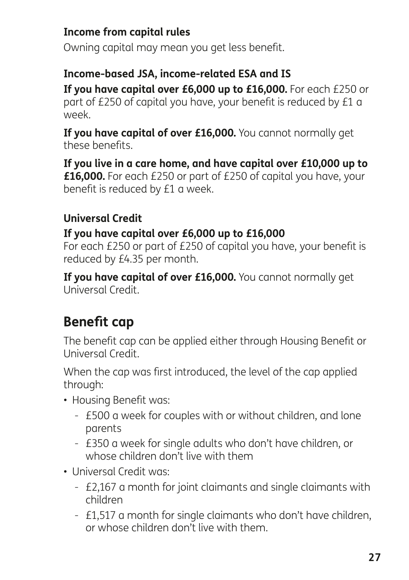### **Income from capital rules**

Owning capital may mean you get less benefit.

#### **Income-based JSA, income-related ESA and IS**

**If you have capital over £6,000 up to £16,000.** For each £250 or part of £250 of capital you have, your benefit is reduced by £1 a week.

**If you have capital of over £16,000.** You cannot normally get these benefits.

**If you live in a care home, and have capital over £10,000 up to £16,000.** For each £250 or part of £250 of capital you have, your benefit is reduced by £1 a week.

### **Universal Credit**

### **If you have capital over £6,000 up to £16,000**

For each £250 or part of £250 of capital you have, your benefit is reduced by £4.35 per month.

**If you have capital of over £16,000.** You cannot normally get Universal Credit.

# **Benefit cap**

The benefit cap can be applied either through Housing Benefit or Universal Credit.

When the cap was first introduced, the level of the cap applied through:

- Housing Benefit was:
	- £500 a week for couples with or without children, and lone parents
	- £350 a week for single adults who don't have children, or whose children don't live with them
- Universal Credit was:
	- £2,167 a month for joint claimants and single claimants with children
	- £1,517 a month for single claimants who don't have children, or whose children don't live with them.